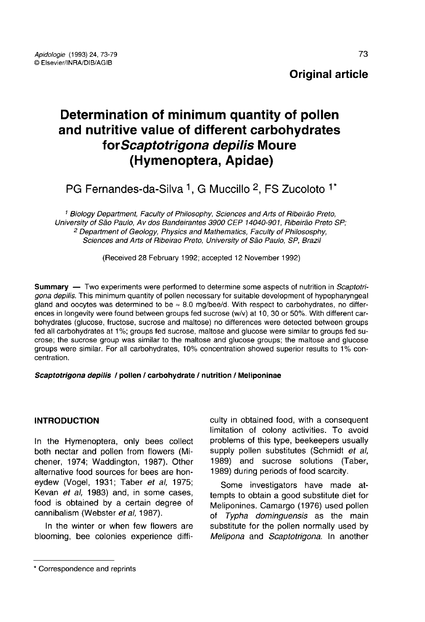# Determination of minimum quantity of pollen and nutritive value of different carbohydrates for Scaptotrigona depilis Moure (Hymenoptera, Apidae)

PG Fernandes-da-Silva <sup>1</sup>, G Muccillo <sup>2</sup>, FS Zucoloto <sup>1\*</sup>

<sup>1</sup> Biology Department, Faculty of Philosophy, Sciences and Arts of Ribeirão Preto, University of São Paulo, Av dos Bandeirantes 3900 CEP 14040-901, Ribeirão Preto SP; <sup>2</sup> Department of Geology, Physics and Mathematics, Faculty of Philososphy, Sciences and Arts of Ribeirao Preto, University of São Paulo, SP, Brazil

(Received 28 February 1992; accepted 12 November 1992)

**Summary** — Two experiments were performed to determine some aspects of nutrition in *Scaptotri*gona depilis. This minimum quantity of pollen necessary for suitable development of hypopharyngeal gland and oocytes was determined to be  $\approx 8.0$  mg/bee/d. With respect to carbohydrates, no differences in longevity were found between groups fed sucrose (w/v) at 10, 30 or 50%. With different carbohydrates (glucose, fructose, sucrose and maltose) no differences were detected between groups fed all carbohydrates at 1%; groups fed sucrose, maltose and glucose were similar to groups fed sucrose; the sucrose group was similar to the maltose and glucose groups; the maltose and glucose groups were similar. For all carbohydrates, 10% concentration showed superior results to 1% concentration.

## Scaptotrigona depilis / pollen / carbohydrate / nutrition / Meliponinae

## INTRODUCTION

In the Hymenoptera, only bees collect both nectar and pollen from flowers (Michener, 1974; Waddington, 1987). Other alternative food sources for bees are honeydew (Vogel, 1931; Taber et al, 1975; Kevan et al, 1983) and, in some cases, food is obtained by a certain degree of cannibalism (Webster et al, 1987).

In the winter or when few flowers are blooming, bee colonies experience diffi-

Some investigators have made attempts to obtain a good substitute diet for Meliponines. Camargo (1976) used pollen of Typha dominguensis as the main substitute for the pollen normally used by Melipona and Scaptotrigona. In another

culty in obtained food, with a consequent limitation of colony activities. To avoid problems of this type, beekeepers usually supply pollen substitutes (Schmidt et al, 1989) and sucrose solutions (Taber, 1989) during periods of food scarcity.

<sup>\*</sup> Correspondence and reprints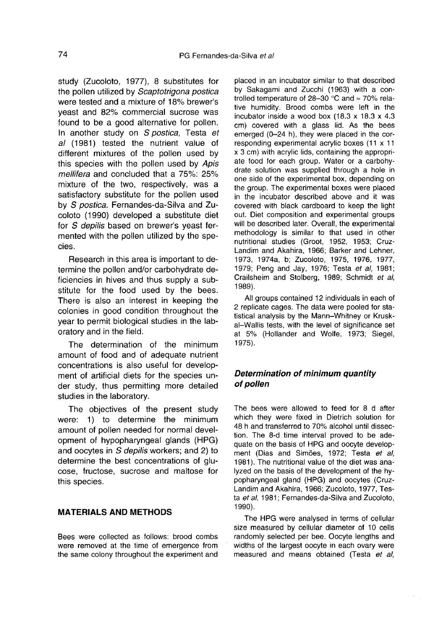study (Zucoloto, 1977), 8 substitutes for the pollen utilized by Scaptotrigona postica were tested and a mixture of 18% brewer's yeast and 82% commercial sucrose was found to be a good alternative for pollen. In another study on S postica, Testa et al (1981) tested the nutrient value of different mixtures of the pollen used by this species with the pollen used by Apis mellifera and concluded that a 75%: 25% mixture of the two, respectively, was a satisfactory substitute for the pollen used by S postica. Fernandes-da-Silva and Zucoloto (1990) developed a substitute diet for S depilis based on brewer's yeast fermented with the pollen utilized by the species.

Research in this area is important to determine the pollen and/or carbohydrate deficiencies in hives and thus supply a substitute for the food used by the bees. There is also an interest in keeping the colonies in good condition throughout the year to permit biological studies in the laboratory and in the field.

The determination of the minimum amount of food and of adequate nutrient concentrations is also useful for develop ment of artificial diets for the species under study, thus permitting more detailed studies in the laboratory.

The objectives of the present study were: 1) to determine the minimum amount of pollen needed for normal development of hypopharyngeal glands (HPG) and oocytes in S depilis workers; and 2) to determine the best concentrations of glucose, fructose, sucrose and maltose for this species.

# MATERIALS AND METHODS

Bees were collected as follows: brood combs were removed at the time of emergence from the same colony throughout the experiment and

placed in an incubator similar to that described by Sakagami and Zucchi (1963) with a controlled temperature of 28-30 °C and ≈ 70% relative humidity. Brood combs were left in the incubator inside a wood box (18.3 x 18.3 x 4.3 cm) covered with a glass lid. As the bees emerged (0-24 h), they were placed in the corresponding experimental acrylic boxes (11 x 11 x 3 cm) with acrylic lids, containing the appropri ate food for each group. Water or a carbohydrate solution was supplied through a hole in one side of the experimental box, depending on the group. The experimental boxes were placed in the incubator described above and it was covered with black cardboard to keep the light out. Diet composition and experimental groups will be described later. Overall, the experimental methodology is similar to that used in other nutritional studies (Groot, 1952, 1953; Cruz-Landim and Akahira, 1966; Barker and Lehner, 1973, 1974a, b; Zucoloto, 1975, 1976, 1977, 1979; Peng and Jay, 1976; Testa et al, 1981; Crailsheim and Stolberg, 1989; Schmidt et al, 1989).

All groups contained 12 individuals in each of 2 replicate cages. The data were pooled for statistical analysis by the Mann-Whitney or Kruskal-Wallis tests, with the level of significance set at 5% (Hollander and Wolfe, 1973; Siegel, 1975).

## Determination of minimum quantity of pollen

The bees were allowed to feed for 8 d after which they were fixed in Dietrich solution for 48 h and transferred to 70% alcohol until dissection. The 8-d time interval proved to be adequate on the basis of HPG and oocyte develop ment (Dias and Simões, 1972; Testa et al, 1981). The nutritional value of the diet was analyzed on the basis of the development of the hypopharyngeal gland (HPG) and oocytes (Cruz-Landim and Akahira, 1966; Zucoloto, 1977, Testa et al, 1981; Fernandes-da-Silva and Zucoloto, 1990).

The HPG were analysed in terms of cellular size measured by cellular diameter of 10 cells randomly selected per bee. Oocyte lengths and widths of the largest oocyte in each ovary were measured and means obtained (Testa et al,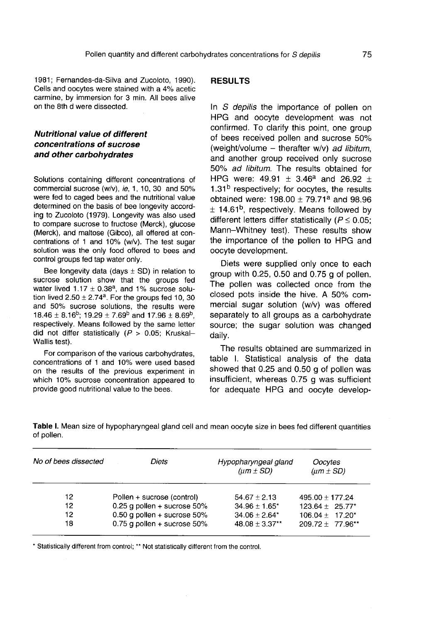1981; Fernandes-da-Silva and Zucoloto, 1990). Cells and oocytes were stained with a 4% acetic carmine, by immersion for 3 min. All bees alive on the 8th d were dissected.

## Nutritional value of different concentrations of sucrose and other carbohydrates

Solutions containing different concentrations of commercial sucrose (w/v), ie, 1, 10, 30 and 50% were fed to caged bees and the nutritional value determined on the basis of bee longevity according to Zucoloto (1979). Longevity was also used to compare sucrose to fructose (Merck), glucose (Merck), and maltose (Gibco), all offered at concentrations of 1 and 10% (w/v). The test sugar solution was the only food offered to bees and control groups fed tap water only.

Bee longevity data (days  $\pm$  SD) in relation to sucrose solution show that the groups fed Bee longevity data (days  $\pm$  SD) in relation to<br>sucrose solution show that the groups fed<br>water lived  $1.17 \pm 0.38^a$ , and 1% sucrose solu-<br>tion lived  $2.50 + 2.74^a$ . For the groups fed 10, 30 Bee longevity data (days  $\pm$  SD) in relation to<br>sucrose solution show that the groups fed<br>water lived  $1.17 \pm 0.38^a$ , and 1% sucrose solu-<br>tion lived  $2.50 \pm 2.74^a$ . For the groups fed 10, 30<br>and 50% sucrose solutions, and 50% sucrose solutions, the results were  $18.46 \pm 8.16^b$ ;  $19.29 \pm 7.69^b$  and  $17.96 \pm 8.69^b$ . water lived  $1.17 \pm 0.38^a$ , and 1% sucrose solution lived  $2.50 \pm 2.74^a$ . For the groups fed 10, 30 and 50% sucrose solutions, the results were 18.46  $\pm 8.16^b$ ; 19.29  $\pm 7.69^b$  and 17.96  $\pm 8.69^b$ , respectively. M did not differ statistically ( $P > 0.05$ ; Kruskal-Wallis test).

For comparison of the various carbohydrates, concentrations of 1 and 10% were used based on the results of the previous experiment in which 10% sucrose concentration appeared to provide good nutritional value to the bees.

of pollen.

#### **RESULTS**

In S depilis the importance of pollen on HPG and oocyte development was not confirmed. To clarify this point, one group of bees received pollen and sucrose 50% (weight/volume – therafter  $w/v$ ) ad libitum, and another group received only sucrose 50% ad libitum. The results obtained for and another group received only sucrose<br>50% *ad libitum*. The results obtained for<br>HPG were: 49.91  $\pm$  3.46<sup>a</sup> and 26.92  $\pm$ confirmed. To clarify this point, one group<br>of bees received pollen and sucrose 50%<br>(weight/volume – therafter w/v) *ad libitum*,<br>and another group received only sucrose<br>50% *ad libitum*. The results obtained for<br>HPG were HPG were:  $49.91 \pm 3.46^a$  and  $26.92 \pm 1.31^b$  respectively; for oocytes, the results obtained were:  $198.00 \pm 79.71^a$  and  $98.96 \pm 14.61^b$ , respectively. Means followed by different letters differ statistically ( $P \le 0.05$ ; Mann-Whitney test). These results show the importance of the pollen to HPG and oocyte development.

Diets were supplied only once to each group with 0.25, 0.50 and 0.75 g of pollen. The pollen was collected once from the closed pots inside the hive. A 50% commercial sugar solution (w/v) was offered separately to all groups as a carbohydrate source; the sugar solution was changed daily.

The results obtained are summarized in table I. Statistical analysis of the data showed that 0.25 and 0.50 g of pollen was insufficient, whereas 0.75 g was sufficient for adequate HPG and oocyte develop-

| No of bees dissected | Diets | Hypopharyngeal gland<br>$(\mu m \pm SD)$ | Oocytes<br>$(\mu m \pm SD)$ |  |
|----------------------|-------|------------------------------------------|-----------------------------|--|

Table I. Mean size of hypopharyngeal gland cell and mean oocyte size in bees fed different quantities

| 12 | Pollen + sucrose (control)     | $54.67 \pm 2.13$    | $495.00 \pm 177.24$  |
|----|--------------------------------|---------------------|----------------------|
| 12 | $0.25$ g pollen + sucrose 50%  | $34.96 \pm 1.65$ *  | $123.64 \pm 25.77$ * |
| 12 | 0.50 g pollen + sucrose $50\%$ | $34.06 + 2.64*$     | $106.04 + 17.20*$    |
| 18 | 0.75 g pollen + sucrose $50\%$ | $48.08 \pm 3.37$ ** | $209.72 + 77.96**$   |

\* Statistically different from control; \*\* Not statistically different from the control.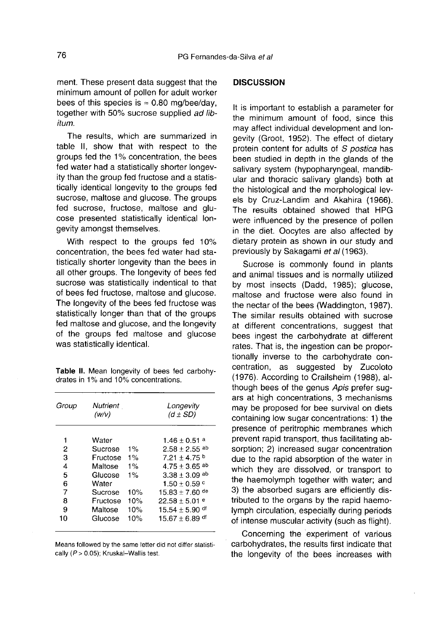ment. These present data suggest that the minimum amount of pollen for adult worker bees of this species is  $\approx 0.80$  mg/bee/day, together with 50% sucrose supplied ad libitum.

The results, which are summarized in table II, show that with respect to the groups fed the 1% concentration, the bees fed water had a statistically shorter longevity than the group fed fructose and a statistically identical longevity to the groups fed sucrose, maltose and glucose. The groups fed sucrose, fructose, maltose and glu cose presented statistically identical longevity amongst themselves.

With respect to the groups fed 10% concentration, the bees fed water had statistically shorter longevity than the bees in all other groups. The longevity of bees fed sucrose was statistically indentical to that of bees fed fructose, maltose and glucose. The longevity of the bees fed fructose was statistically longer than that of the groups fed maltose and glucose, and the longevity of the groups fed maltose and glucose was statistically identical.

Table II. Mean longevity of bees fed carbohydrates in 1% and 10% concentrations.

| Group | Nutrient<br>(w/v) |       | Longevity<br>$(d \pm SD)$   |
|-------|-------------------|-------|-----------------------------|
| 1     | Water             |       | $1.46 \pm 0.51$ a           |
| 2     | Sucrose           | $1\%$ | $2.58 + 2.55$ <sup>ab</sup> |
| 3     | Fructose          | $1\%$ | $7.21 + 4.75$               |
| 4     | Maltose           | 1%    | $4.75 + 3.65$ <sup>ab</sup> |
| 5     | Glucose           | $1\%$ | $3.38 + 3.09$ ab            |
| 6     | Water             |       | $1.50 \pm 0.59$ c           |
| 7     | Sucrose           | 10%   | $15.83 + 7.60$ de           |
| 8     | Fructose          | 10%   | $22.58 + 5.01$ e            |
| 9     | Maltose           | 10%   | $15.54 + 5.90$ df           |
| 10    | Glucose           | 10%   | $15.67 + 6.89$ df           |

Means followed by the same letter did not differ statistically (P > 0.05); Kruskal-Wallis test.

#### **DISCUSSION**

It is important to establish a parameter for the minimum amount of food, since this may affect individual development and longevity (Groot, 1952). The effect of dietary protein content for adults of S postica has been studied in depth in the glands of the salivary system (hypopharyngeal, mandibular and thoracic salivary glands) both at the histological and the morphological levels by Cruz-Landim and Akahira (1966). The results obtained showed that HPG were influenced by the presence of pollen in the diet. Oocytes are also affected by dietary protein as shown in our study and previously by Sakagami et al (1963).

Sucrose is commonly found in plants and animal tissues and is normally utilized by most insects (Dadd, 1985); glucose, maltose and fructose were also found in the nectar of the bees (Waddington, 1987). The similar results obtained with sucrose at different concentrations, suggest that bees ingest the carbohydrate at different rates. That is, the ingestion can be proportionally inverse to the carbohydrate concentration, as suggested by Zucoloto (1976). According to Crailsheim (1988), although bees of the genus Apis prefer sugars at high concentrations, 3 mechanisms may be proposed for bee survival on diets containing low sugar concentrations: 1) the presence of peritrophic membranes which prevent rapid transport, thus facilitating absorption; 2) increased sugar concentration due to the rapid absorption of the water in which they are dissolved, or transport to the haemolymph together with water; and 3) the absorbed sugars are efficiently distributed to the organs by the rapid haemolymph circulation, especially during periods of intense muscular activity (such as flight).

Concerning the experiment of various carbohydrates, the results first indicate that the longevity of the bees increases with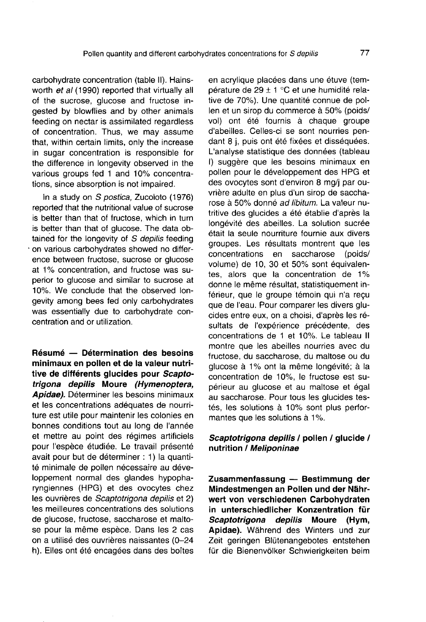carbohydrate concentration (table II). Hainsworth et al (1990) reported that virtually all of the sucrose, glucose and fructose ingested by blowflies and by other animals feeding on nectar is assimilated regardless of concentration. Thus, we may assume that, within certain limits, only the increase in sugar concentration is responsible for the difference in longevity observed in the various groups fed 1 and 10% concentrations, since absorption is not impaired.

In a study on S postica, Zucoloto (1976) reported that the nutritional value of sucrose is better than that of fructose, which in turn is better than that of glucose. The data obtained for the longevity of  $S$  depilis feeding on various carbohydrates showed no difference between fructose, sucrose or glucose at 1% concentration, and fructose was superior to glucose and similar to sucrose at 10%. We conclude that the observed longevity among bees fed only carbohydrates was essentially due to carbohydrate concentration and or utilization.

Résumé — Détermination des besoins minimaux en pollen et de la valeur nutritive de différents glucides pour Scaptotrigona depilis Moure (Hymenoptera, Apidae). Déterminer les besoins minimaux et les concentrations adéquates de nourriture est utile pour maintenir les colonies en bonnes conditions tout au long de l'année et mettre au point des régimes artificiels pour l'espèce étudiée. Le travail présenté avait pour but de déterminer : 1) la quantité minimale de pollen nécessaire au développement normal des glandes hypopharyngiennes (HPG) et des ovocytes chez les ouvrières de Scaptotrigona depilis et 2) les meilleures concentrations des solutions de glucose, fructose, saccharose et maltose pour la même espèce. Dans les 2 cas on a utilisé des ouvrières naissantes (0-24 h). Elles ont été encagées dans des boîtes en acrylique placées dans une étuve (température de 29 ± 1 °C et une humidité relative de 70%). Une quantité connue de pollen et un sirop du commerce à 50% (poids/ vol) ont été fournis à chaque groupe d'abeilles. Celles-ci se sont nourries pendant 8 j, puis ont été fixées et disséquées. L'analyse statistique des données (tableau I) suggère que les besoins minimaux en pollen pour le développement des HPG et des ovocytes sont d'environ 8 mg/j par ouvrière adulte en plus d'un sirop de saccharose à 50% donné ad libitum. La valeur nutritive des glucides a été établie d'après la longévité des abeilles. La solution sucrée était la seule nourriture fournie aux divers groupes. Les résultats montrent que les<br>concentrations en saccharose (poids/ concentrations en saccharose volume) de 10, 30 et 50% sont équivalentes, alors que la concentration de 1% donne le même résultat, statistiquement inférieur, que le groupe témoin qui n'a reçu que de l'eau. Pour comparer les divers glucides entre eux, on a choisi, d'après les résultats de l'expérience précédente, des concentrations de 1 et 10%. Le tableau II montre que les abeilles nourries avec du fructose, du saccharose, du maltose ou du glucose à 1% ont la même longévité; à la concentration de 10%, le fructose est supérieur au glucose et au maltose et égal au saccharose. Pour tous les glucides testés, les solutions à 10% sont plus perfor mantes que les solutions à 1%.

## Scaptotrigona depilis / pollen / glucide / nutrition / Meliponinae

Zusammenfassung — Bestimmung der Mindestmengen an Pollen und der Nährwert von verschiedenen Carbohydraten in unterschiedlicher Konzentration für Scaptotrigona depilis Moure (Hym, Apidae). Während des Winters und zur Zeit geringen Blütenangebotes entstehen für die Bienenvölker Schwierigkeiten beim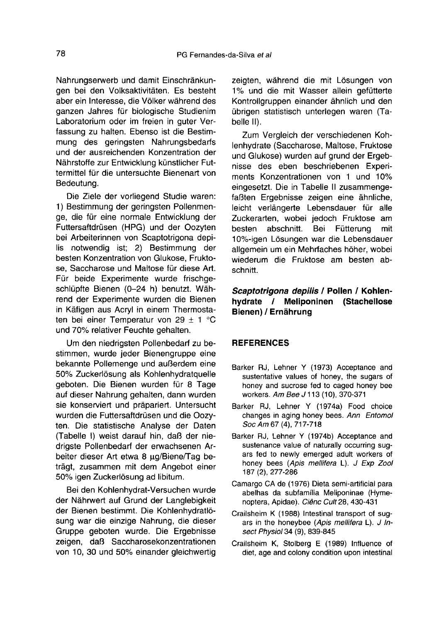Nahrungserwerb und damit Einschränkungen bei den Volksaktivitäten. Es besteht aber ein Interesse, die Völker während des ganzen Jahres für biologische Studienim Laboratorium oder im freien in guter Verfassung zu halten. Ebenso ist die Bestimmung des geringsten Nahrungsbedarfs und der ausreichenden Konzentration der Nährstoffe zur Entwicklung künstlicher Futtermittel für die untersuchte Bienenart von Bedeutung.

Die Ziele der vorliegend Studie waren: 1) Bestimmung der geringsten Pollenmenge, die für eine normale Entwicklung der Futtersaftdrüsen (HPG) und der Oozyten bei Arbeiterinnen von Scaptotrigona depilis notwendig ist; 2) Bestimmung der besten Konzentration von Glukose, Fruktose, Saccharose und Maltose für diese Art. Für beide Experimente wurde frischgeschlüpfte Bienen (0-24 h) benutzt. Während der Experimente wurden die Bienen in Käfigen aus Acryl in einem Thermostaten bei einer Temperatur von 29  $\pm$  1 °C und 70% relativer Feuchte gehalten.

Um den niedrigsten Pollenbedarf zu bestimmen, wurde jeder Bienengruppe eine bekannte Pollemenge und außerdem eine 50% Zuckerlösung als Kohlenhydratquelle geboten. Die Bienen wurden für 8 Tage auf dieser Nahrung gehalten, dann wurden sie konserviert und präpariert. Untersucht wurden die Futtersaftdrüsen und die Oozyten. Die statistische Analyse der Daten (Tabelle I) weist darauf hin, daß der niedrigste Pollenbedarf der erwachsenen Arbeiter dieser Art etwa 8 μg/Biene/Tag beträgt, zusammen mit dem Angebot einer 50% igen Zuckerlösung ad libitum.

Bei den Kohlenhydrat-Versuchen wurde der Nährwert auf Grund der Langlebigkeit der Bienen bestimmt. Die Kohlenhydratlösung war die einzige Nahrung, die dieser Gruppe geboten wurde. Die Ergebnisse zeigen, daß Saccharosekonzentrationen von 10, 30 und 50% einander gleichwertig

zeigten, während die mit Lösungen von 1% und die mit Wasser allein gefütterte Kontrollgruppen einander ähnlich und den übrigen statistisch unterlegen waren (Tabelle II).

Zum Vergleich der verschiedenen Kohlenhydrate (Saccharose, Maltose, Fruktose und Glukose) wurden auf grund der Ergebnisse des eben beschriebenen Experiments Konzentrationen von 1 und 10% eingesetzt. Die in Tabelle II zusammengefaßten Ergebnisse zeigen eine ähnliche, leicht verlängerte Lebensdauer für alle Zuckerarten, wobei jedoch Fruktose am besten abschnitt. Bei Fütterung mit 10%-igen Lösungen war die Lebensdauer allgemein um ein Mehrfaches höher, wobei wiederum die Fruktose am besten abschnitt.

# Scaptotrigona depilis / Pollen / Kohlenhydrate / Meliponinen (Stachellose Bienen) / Ernährung

## **REFERENCES**

- Barker RJ, Lehner Y (1973) Acceptance and sustentative values of honey, the sugars of honey and sucrose fed to caged honey bee workers. Am Bee J 113 (10), 370-371
- Barker RJ, Lehner Y (1974a) Food choice changes in aging honey bees. Ann Entomol Soc Am 67 (4), 717-718
- Barker RJ, Lehner Y (1974b) Acceptance and sustenance value of naturally occurring sugars fed to newly emerged adult workers of honey bees (Apis mellifera L). J Exp Zool 187 (2), 277-286
- Camargo CA de (1976) Dieta semi-artificial para abelhas da subfamília Meliponinae (Hymenoptera, Apidae). Ciênc Cult 28, 430-431
- Crailsheim K (1988) Intestinal transport of sugars in the honeybee (Apis mellifera L). J Insect Physiol 34 (9), 839-845
- Crailsheim K, Stolberg E (1989) Influence of diet, age and colony condition upon intestinal